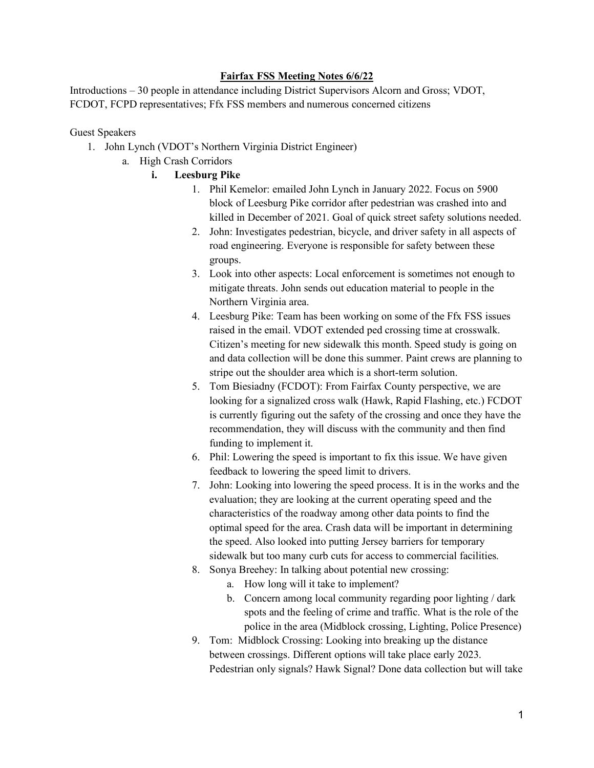## **Fairfax FSS Meeting Notes 6/6/22**

Introductions – 30 people in attendance including District Supervisors Alcorn and Gross; VDOT, FCDOT, FCPD representatives; Ffx FSS members and numerous concerned citizens

Guest Speakers

- 1. John Lynch (VDOT's Northern Virginia District Engineer)
	- a. High Crash Corridors
		- **i. Leesburg Pike**
			- 1. Phil Kemelor: emailed John Lynch in January 2022. Focus on 5900 block of Leesburg Pike corridor after pedestrian was crashed into and killed in December of 2021. Goal of quick street safety solutions needed.
			- 2. John: Investigates pedestrian, bicycle, and driver safety in all aspects of road engineering. Everyone is responsible for safety between these groups.
			- 3. Look into other aspects: Local enforcement is sometimes not enough to mitigate threats. John sends out education material to people in the Northern Virginia area.
			- 4. Leesburg Pike: Team has been working on some of the Ffx FSS issues raised in the email. VDOT extended ped crossing time at crosswalk. Citizen's meeting for new sidewalk this month. Speed study is going on and data collection will be done this summer. Paint crews are planning to stripe out the shoulder area which is a short-term solution.
			- 5. Tom Biesiadny (FCDOT): From Fairfax County perspective, we are looking for a signalized cross walk (Hawk, Rapid Flashing, etc.) FCDOT is currently figuring out the safety of the crossing and once they have the recommendation, they will discuss with the community and then find funding to implement it.
			- 6. Phil: Lowering the speed is important to fix this issue. We have given feedback to lowering the speed limit to drivers.
			- 7. John: Looking into lowering the speed process. It is in the works and the evaluation; they are looking at the current operating speed and the characteristics of the roadway among other data points to find the optimal speed for the area. Crash data will be important in determining the speed. Also looked into putting Jersey barriers for temporary sidewalk but too many curb cuts for access to commercial facilities.
			- 8. Sonya Breehey: In talking about potential new crossing:
				- a. How long will it take to implement?
				- b. Concern among local community regarding poor lighting / dark spots and the feeling of crime and traffic. What is the role of the police in the area (Midblock crossing, Lighting, Police Presence)
			- 9. Tom: Midblock Crossing: Looking into breaking up the distance between crossings. Different options will take place early 2023. Pedestrian only signals? Hawk Signal? Done data collection but will take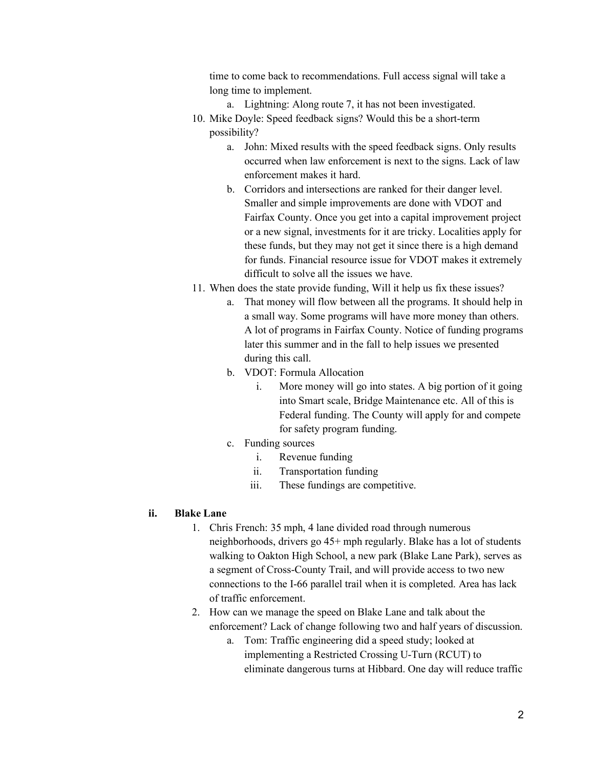time to come back to recommendations. Full access signal will take a long time to implement.

- a. Lightning: Along route 7, it has not been investigated.
- 10. Mike Doyle: Speed feedback signs? Would this be a short-term possibility?
	- a. John: Mixed results with the speed feedback signs. Only results occurred when law enforcement is next to the signs. Lack of law enforcement makes it hard.
	- b. Corridors and intersections are ranked for their danger level. Smaller and simple improvements are done with VDOT and Fairfax County. Once you get into a capital improvement project or a new signal, investments for it are tricky. Localities apply for these funds, but they may not get it since there is a high demand for funds. Financial resource issue for VDOT makes it extremely difficult to solve all the issues we have.
- 11. When does the state provide funding, Will it help us fix these issues?
	- a. That money will flow between all the programs. It should help in a small way. Some programs will have more money than others. A lot of programs in Fairfax County. Notice of funding programs later this summer and in the fall to help issues we presented during this call.
	- b. VDOT: Formula Allocation
		- i. More money will go into states. A big portion of it going into Smart scale, Bridge Maintenance etc. All of this is Federal funding. The County will apply for and compete for safety program funding.
	- c. Funding sources
		- i. Revenue funding
		- ii. Transportation funding
		- iii. These fundings are competitive.

## **ii. Blake Lane**

- 1. Chris French: 35 mph, 4 lane divided road through numerous neighborhoods, drivers go 45+ mph regularly. Blake has a lot of students walking to Oakton High School, a new park (Blake Lane Park), serves as a segment of Cross-County Trail, and will provide access to two new connections to the I-66 parallel trail when it is completed. Area has lack of traffic enforcement.
- 2. How can we manage the speed on Blake Lane and talk about the enforcement? Lack of change following two and half years of discussion.
	- a. Tom: Traffic engineering did a speed study; looked at implementing a Restricted Crossing U-Turn (RCUT) to eliminate dangerous turns at Hibbard. One day will reduce traffic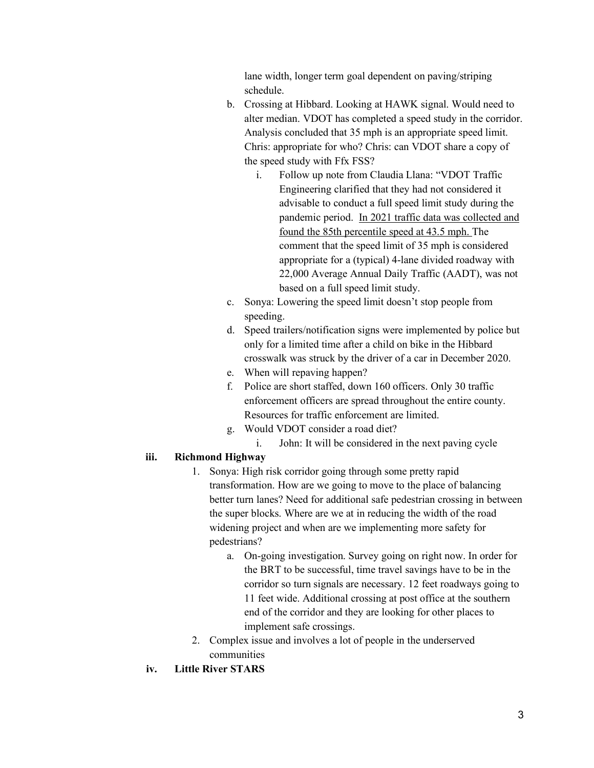lane width, longer term goal dependent on paving/striping schedule.

- b. Crossing at Hibbard. Looking at HAWK signal. Would need to alter median. VDOT has completed a speed study in the corridor. Analysis concluded that 35 mph is an appropriate speed limit. Chris: appropriate for who? Chris: can VDOT share a copy of the speed study with Ffx FSS?
	- i. Follow up note from Claudia Llana: "VDOT Traffic Engineering clarified that they had not considered it advisable to conduct a full speed limit study during the pandemic period. In 2021 traffic data was collected and found the 85th percentile speed at 43.5 mph. The comment that the speed limit of 35 mph is considered appropriate for a (typical) 4-lane divided roadway with 22,000 Average Annual Daily Traffic (AADT), was not based on a full speed limit study.
- c. Sonya: Lowering the speed limit doesn't stop people from speeding.
- d. Speed trailers/notification signs were implemented by police but only for a limited time after a child on bike in the Hibbard crosswalk was struck by the driver of a car in December 2020.
- e. When will repaving happen?
- f. Police are short staffed, down 160 officers. Only 30 traffic enforcement officers are spread throughout the entire county. Resources for traffic enforcement are limited.
- g. Would VDOT consider a road diet?
	- i. John: It will be considered in the next paving cycle

## **iii. Richmond Highway**

- 1. Sonya: High risk corridor going through some pretty rapid transformation. How are we going to move to the place of balancing better turn lanes? Need for additional safe pedestrian crossing in between the super blocks. Where are we at in reducing the width of the road widening project and when are we implementing more safety for pedestrians?
	- a. On-going investigation. Survey going on right now. In order for the BRT to be successful, time travel savings have to be in the corridor so turn signals are necessary. 12 feet roadways going to 11 feet wide. Additional crossing at post office at the southern end of the corridor and they are looking for other places to implement safe crossings.
- 2. Complex issue and involves a lot of people in the underserved communities
- **iv. Little River STARS**